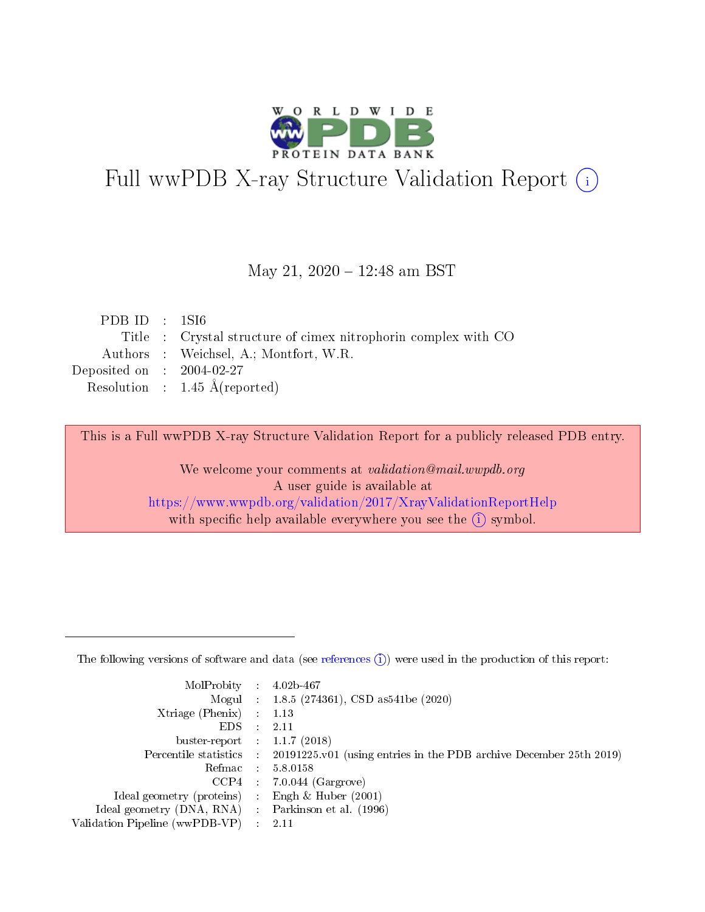

# Full wwPDB X-ray Structure Validation Report (i)

#### May 21, 2020 - 12:48 am BST

| PDB ID : $1\text{S}16$      |                                                                |
|-----------------------------|----------------------------------------------------------------|
|                             | Title : Crystal structure of cimex nitrophorin complex with CO |
|                             | Authors : Weichsel, A.; Montfort, W.R.                         |
| Deposited on : $2004-02-27$ |                                                                |
|                             | Resolution : $1.45 \text{ Å}$ (reported)                       |

This is a Full wwPDB X-ray Structure Validation Report for a publicly released PDB entry.

We welcome your comments at validation@mail.wwpdb.org A user guide is available at <https://www.wwpdb.org/validation/2017/XrayValidationReportHelp> with specific help available everywhere you see the  $(i)$  symbol.

The following versions of software and data (see [references](https://www.wwpdb.org/validation/2017/XrayValidationReportHelp#references)  $(1)$ ) were used in the production of this report:

| MolProbity :                   |               | $4.02b - 467$                                                               |
|--------------------------------|---------------|-----------------------------------------------------------------------------|
|                                |               | Mogul : $1.8.5$ (274361), CSD as 541be (2020)                               |
| $X$ triage (Phenix) :          |               | 1.13                                                                        |
| EDS.                           |               | 2.11                                                                        |
| buster-report : $1.1.7$ (2018) |               |                                                                             |
| Percentile statistics :        |               | $20191225 \text{v}01$ (using entries in the PDB archive December 25th 2019) |
| Refmac :                       |               | 5.8.0158                                                                    |
| $CCP4$ :                       |               | $7.0.044$ (Gargrove)                                                        |
| Ideal geometry (proteins) :    |               | Engh $\&$ Huber (2001)                                                      |
| Ideal geometry (DNA, RNA) :    |               | Parkinson et al. (1996)                                                     |
| Validation Pipeline (wwPDB-VP) | $\mathcal{L}$ | 2.11                                                                        |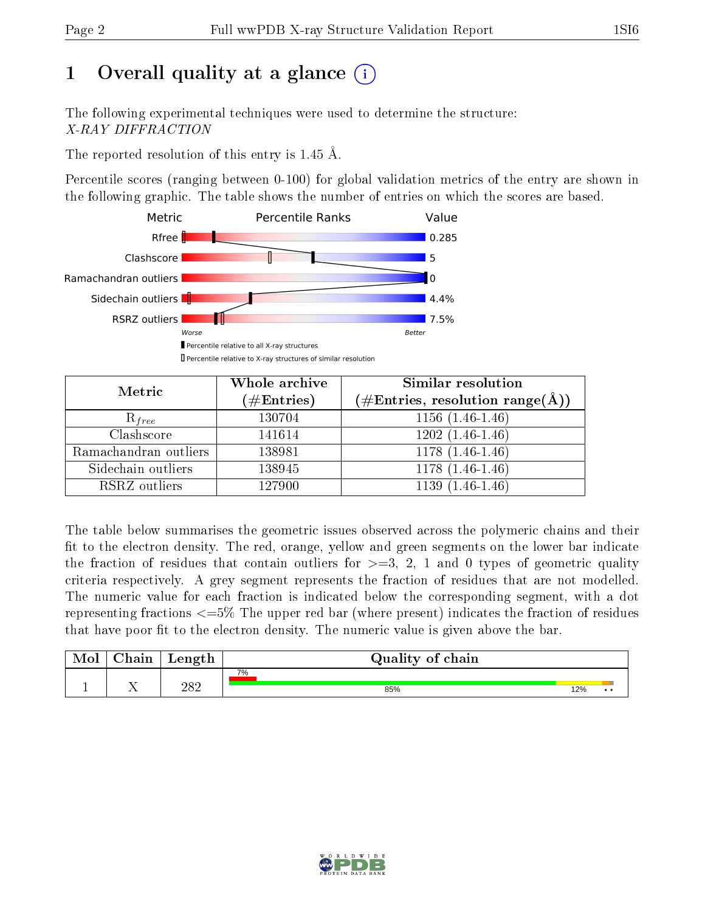# 1 [O](https://www.wwpdb.org/validation/2017/XrayValidationReportHelp#overall_quality)verall quality at a glance  $(i)$

The following experimental techniques were used to determine the structure: X-RAY DIFFRACTION

The reported resolution of this entry is 1.45 Å.

Percentile scores (ranging between 0-100) for global validation metrics of the entry are shown in the following graphic. The table shows the number of entries on which the scores are based.



| Metric                | Whole archive<br>$(\#\mathrm{Entries})$ | Similar resolution<br>$(\#\text{Entries}, \text{resolution range}(\textup{\AA}))$ |
|-----------------------|-----------------------------------------|-----------------------------------------------------------------------------------|
| $R_{free}$            | 130704                                  | $1156(1.46-1.46)$                                                                 |
| Clashscore            | 141614                                  | $1202(1.46-1.46)$                                                                 |
| Ramachandran outliers | 138981                                  | $\overline{1178}$ $(1.46-1.46)$                                                   |
| Sidechain outliers    | 138945                                  | $1178(1.46-1.46)$                                                                 |
| RSRZ outliers         | 127900                                  | $1139(1.46-1.46)$                                                                 |

The table below summarises the geometric issues observed across the polymeric chains and their fit to the electron density. The red, orange, yellow and green segments on the lower bar indicate the fraction of residues that contain outliers for  $>=3, 2, 1$  and 0 types of geometric quality criteria respectively. A grey segment represents the fraction of residues that are not modelled. The numeric value for each fraction is indicated below the corresponding segment, with a dot representing fractions  $\epsilon=5\%$  The upper red bar (where present) indicates the fraction of residues that have poor fit to the electron density. The numeric value is given above the bar.

| Mol | $\cap$ hain | Length | Quality of chain |     |     |  |  |  |  |
|-----|-------------|--------|------------------|-----|-----|--|--|--|--|
|     |             |        | 7%               |     |     |  |  |  |  |
|     |             | 282    | 85%              | 12% | . . |  |  |  |  |

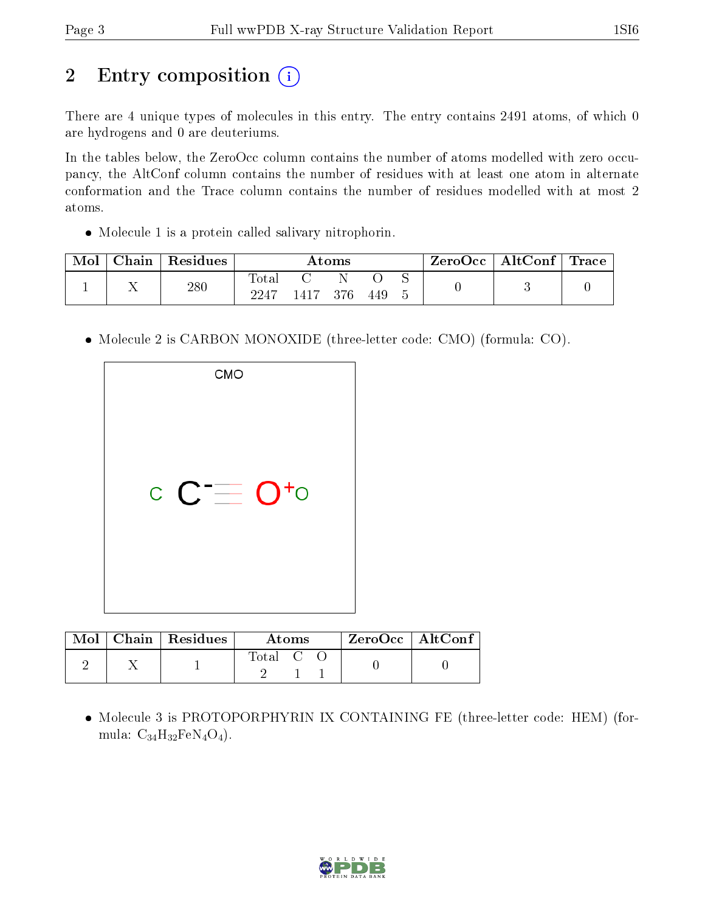# 2 Entry composition (i)

There are 4 unique types of molecules in this entry. The entry contains 2491 atoms, of which 0 are hydrogens and 0 are deuteriums.

In the tables below, the ZeroOcc column contains the number of atoms modelled with zero occupancy, the AltConf column contains the number of residues with at least one atom in alternate conformation and the Trace column contains the number of residues modelled with at most 2 atoms.

Molecule 1 is a protein called salivary nitrophorin.

| Mol | Chain | Residues | Atoms                |  |     |     |  | $\text{ZeroOcc} \mid \text{AltConf} \mid$ | $\mid$ Trace $\mid$ |
|-----|-------|----------|----------------------|--|-----|-----|--|-------------------------------------------|---------------------|
|     |       | 280      | <b>Total</b><br>2247 |  | 376 | 449 |  |                                           |                     |

• Molecule 2 is CARBON MONOXIDE (three-letter code: CMO) (formula: CO).

| <b>CMO</b> |  |
|------------|--|
| $C = O+$   |  |

| Mol | Chain   Residues | Atoms   |  |  | $ZeroOcc \mid AltConf$ |  |
|-----|------------------|---------|--|--|------------------------|--|
|     |                  | Total C |  |  |                        |  |

 Molecule 3 is PROTOPORPHYRIN IX CONTAINING FE (three-letter code: HEM) (formula:  $C_{34}H_{32}FeN_4O_4$ ).

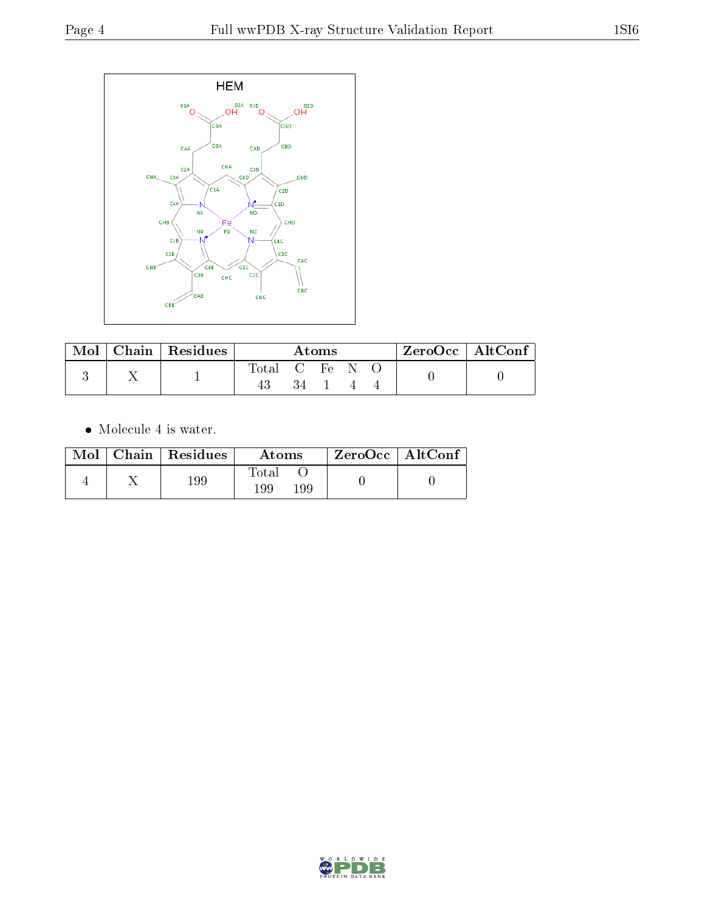

| Mol |  | $\mid$ Chain $\mid$ Residues | Atoms      |  |  |  |  | $\mathsf{ZeroOcc} \mid \mathsf{AltConf} \mid$ |  |
|-----|--|------------------------------|------------|--|--|--|--|-----------------------------------------------|--|
|     |  |                              | Total C Fe |  |  |  |  |                                               |  |
|     |  |                              |            |  |  |  |  |                                               |  |

 $\bullet\,$  Molecule 4 is water.

|  | $Mol$   Chain   Residues | Atoms               | $ZeroOcc \mid AltConf \mid$ |
|--|--------------------------|---------------------|-----------------------------|
|  | 199                      | Fotal<br>199<br>199 |                             |

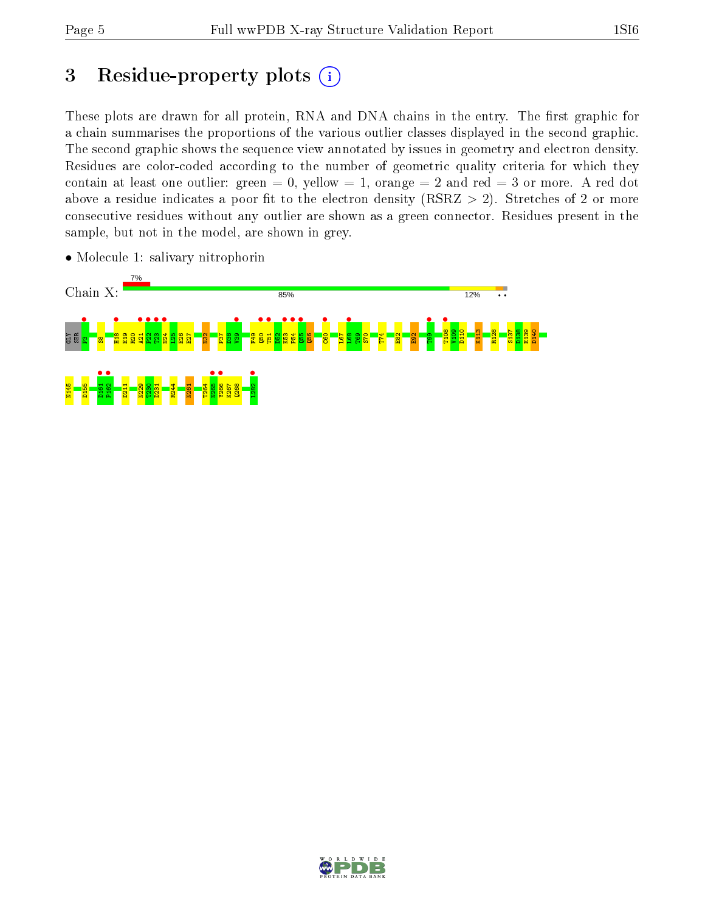# 3 Residue-property plots  $(i)$

These plots are drawn for all protein, RNA and DNA chains in the entry. The first graphic for a chain summarises the proportions of the various outlier classes displayed in the second graphic. The second graphic shows the sequence view annotated by issues in geometry and electron density. Residues are color-coded according to the number of geometric quality criteria for which they contain at least one outlier: green  $= 0$ , yellow  $= 1$ , orange  $= 2$  and red  $= 3$  or more. A red dot above a residue indicates a poor fit to the electron density (RSRZ  $> 2$ ). Stretches of 2 or more consecutive residues without any outlier are shown as a green connector. Residues present in the sample, but not in the model, are shown in grey.



• Molecule 1: salivary nitrophorin

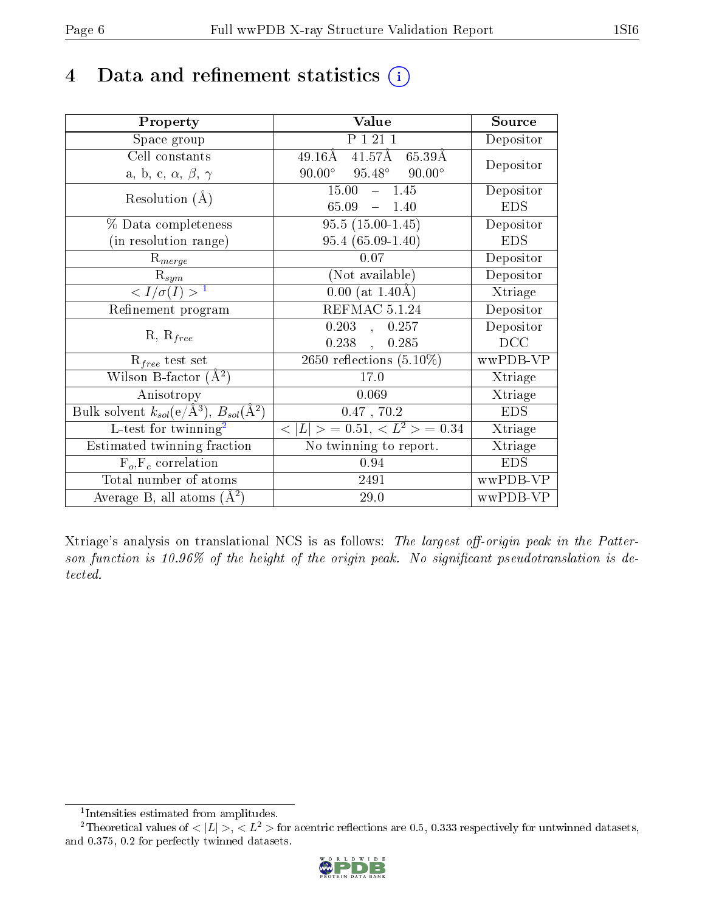## 4 Data and refinement statistics  $(i)$

| Property                                                                | Value                                             | Source     |
|-------------------------------------------------------------------------|---------------------------------------------------|------------|
| Space group                                                             | P 1 21 1                                          | Depositor  |
| Cell constants                                                          | $49.16\text{\AA}$<br>$41.57\text{\AA}$<br>65.39Å  | Depositor  |
| a, b, c, $\alpha$ , $\beta$ , $\gamma$                                  | $95.48^\circ$<br>$90.00^{\circ}$<br>$90.00^\circ$ |            |
| Resolution $(A)$                                                        | 15.00<br>$-1.45$                                  | Depositor  |
|                                                                         | 65.09<br>1.40<br>$\frac{1}{2}$                    | <b>EDS</b> |
| % Data completeness                                                     | $95.5(15.00-1.45)$                                | Depositor  |
| (in resolution range)                                                   | $95.4(65.09-1.40)$                                | <b>EDS</b> |
| $R_{merge}$                                                             | $0.07\,$                                          | Depositor  |
| $\mathrm{R}_{sym}$                                                      | (Not available)                                   | Depositor  |
| $\langle I/\sigma(I) \rangle^{-1}$                                      | $0.00$ (at 1.40Å)                                 | Xtriage    |
| Refinement program                                                      | REFMAC 5.1.24                                     | Depositor  |
|                                                                         | 0.203,<br>0.257                                   | Depositor  |
| $R, R_{free}$                                                           | 0.238,<br>0.285                                   | DCC        |
| $\mathcal{R}_{free}$ test set                                           | $\overline{2650}$ reflections $(5.10\%)$          | wwPDB-VP   |
| Wilson B-factor $(A^2)$                                                 | 17.0                                              | Xtriage    |
| Anisotropy                                                              | 0.069                                             | Xtriage    |
| Bulk solvent $k_{sol}(\mathrm{e}/\mathrm{A}^3),\,B_{sol}(\mathrm{A}^2)$ | $0.47$ , $70.2$                                   | <b>EDS</b> |
| L-test for twinning <sup>2</sup>                                        | $< L >$ = 0.51, $< L2 >$ = 0.34                   | Xtriage    |
| Estimated twinning fraction                                             | No twinning to report.                            | Xtriage    |
| $F_o, F_c$ correlation                                                  | 0.94                                              | <b>EDS</b> |
| Total number of atoms                                                   | 2491                                              | wwPDB-VP   |
| Average B, all atoms $(A^2)$                                            | 29.0                                              | wwPDB-VP   |

Xtriage's analysis on translational NCS is as follows: The largest off-origin peak in the Patterson function is  $10.96\%$  of the height of the origin peak. No significant pseudotranslation is detected.

<sup>&</sup>lt;sup>2</sup>Theoretical values of  $\langle |L| \rangle$ ,  $\langle L^2 \rangle$  for acentric reflections are 0.5, 0.333 respectively for untwinned datasets, and 0.375, 0.2 for perfectly twinned datasets.



<span id="page-5-1"></span><span id="page-5-0"></span><sup>1</sup> Intensities estimated from amplitudes.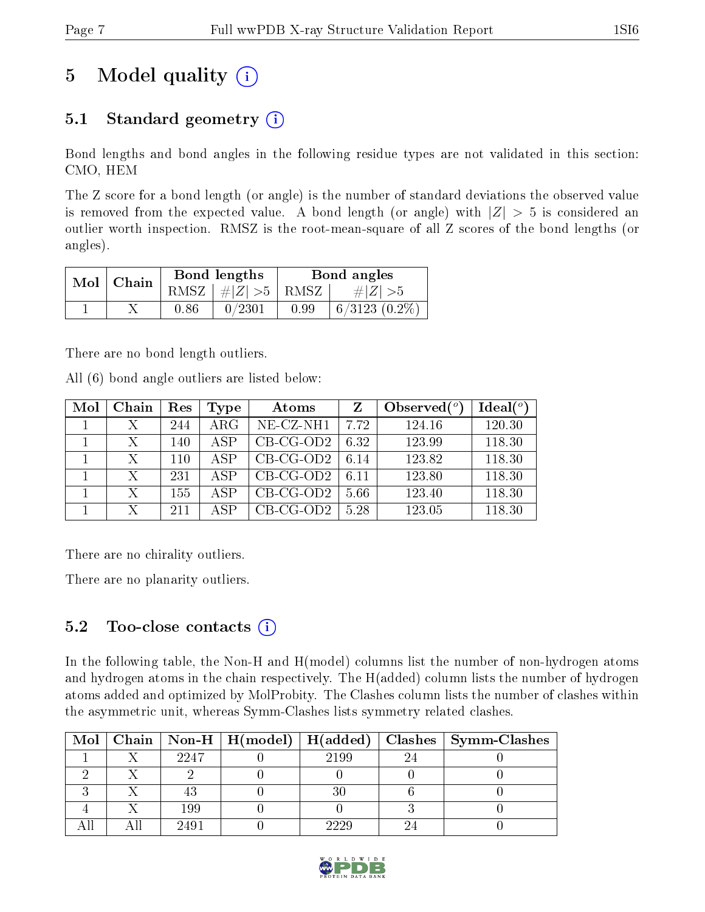# 5 Model quality  $(i)$

### 5.1 Standard geometry  $(i)$

Bond lengths and bond angles in the following residue types are not validated in this section: CMO, HEM

The Z score for a bond length (or angle) is the number of standard deviations the observed value is removed from the expected value. A bond length (or angle) with  $|Z| > 5$  is considered an outlier worth inspection. RMSZ is the root-mean-square of all Z scores of the bond lengths (or angles).

| $Mol$   Chain |      | Bond lengths                | Bond angles |                    |  |
|---------------|------|-----------------------------|-------------|--------------------|--|
|               |      | $RMSZ \mid # Z  > 5$   RMSZ |             | $\# Z  > 5$        |  |
|               | 0.86 | 0/2301                      | 0.99        | $6/3123$ $(0.2\%)$ |  |

There are no bond length outliers.

All (6) bond angle outliers are listed below:

| Mol | Chain | Res | Type       | Atoms       | Z    | Observed $(°)$ | Ideal $(°)$ |
|-----|-------|-----|------------|-------------|------|----------------|-------------|
|     |       | 244 | $\rm{ARG}$ | NE-CZ-NH1   | 7.72 | 124.16         | 120.30      |
|     | Х     | 140 | ASP        | $CB-CG-OD2$ | 6.32 | 123.99         | 118.30      |
|     | X     | 110 | ASP        | $CB-CG-OD2$ | 6.14 | 123.82         | 118.30      |
|     | Х     | 231 | ASP        | $CB-CG-OD2$ | 6 11 | 123.80         | 118.30      |
|     | X     | 155 | A SP       | $CB-CG-OD2$ | 5.66 | 123.40         | 118.30      |
|     | X     | 211 | A SP       | $CB-CG-OD2$ | 5.28 | 123.05         | 118.30      |

There are no chirality outliers.

There are no planarity outliers.

#### 5.2 Too-close contacts  $(i)$

In the following table, the Non-H and H(model) columns list the number of non-hydrogen atoms and hydrogen atoms in the chain respectively. The H(added) column lists the number of hydrogen atoms added and optimized by MolProbity. The Clashes column lists the number of clashes within the asymmetric unit, whereas Symm-Clashes lists symmetry related clashes.

|  |      |      | Mol   Chain   Non-H   H(model)   H(added)   Clashes   Symm-Clashes |
|--|------|------|--------------------------------------------------------------------|
|  | 2247 | 2199 |                                                                    |
|  |      |      |                                                                    |
|  |      |      |                                                                    |
|  | 199  |      |                                                                    |
|  | 2491 | 2220 |                                                                    |

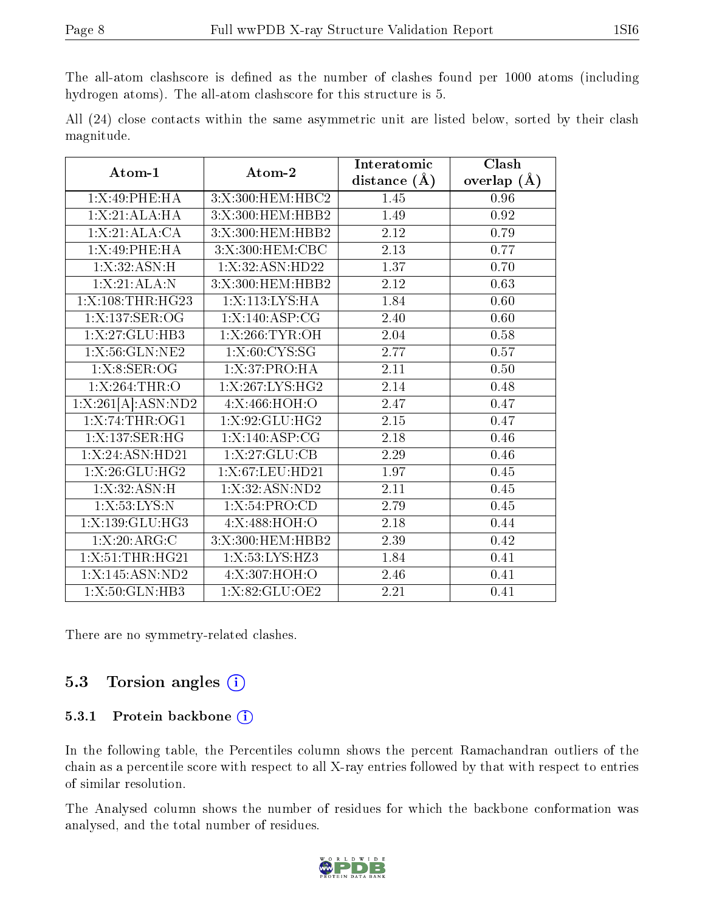The all-atom clashscore is defined as the number of clashes found per 1000 atoms (including hydrogen atoms). The all-atom clashscore for this structure is 5.

|            |  |  |  | All (24) close contacts within the same asymmetric unit are listed below, sorted by their clash |  |  |  |  |
|------------|--|--|--|-------------------------------------------------------------------------------------------------|--|--|--|--|
| magnitude. |  |  |  |                                                                                                 |  |  |  |  |

| Atom-1             | Atom-2             | Interatomic      | Clash         |  |
|--------------------|--------------------|------------------|---------------|--|
|                    |                    | distance $(\AA)$ | overlap $(A)$ |  |
| 1:X:49:PHE:HA      | 3:X:300:HEM:HBC2   | 1.45             | 0.96          |  |
| 1: X:21:ALA:HA     | 3:X:300:HEM:HBB2   | 1.49             | 0.92          |  |
| 1: X:21: ALA:CA    | 3:X:300:HEM:HBB2   | 2.12             | 0.79          |  |
| 1:X:49:PHE:HA      | 3:X:300:HEM:CBC    | 2.13             | 0.77          |  |
| 1: X:32: ASN:H     | 1: X:32: ASN: HD22 | 1.37             | 0.70          |  |
| 1:X:21:ALA:N       | 3:X:300:HEM:HBB2   | 2.12             | 0.63          |  |
| 1:X:108:THR:HG23   | 1:X:113:LYS:HA     | 1.84             | 0.60          |  |
| 1:X:137:SER:OG     | 1: X: 140: ASP: CG | 2.40             | 0.60          |  |
| 1:X:27:GLU:HB3     | 1:X:266:TYR:OH     | 2.04             | 0.58          |  |
| 1:X:56:GLN:NE2     | 1: X:60: CYS:SG    | 2.77             | 0.57          |  |
| 1: X: 8: SER: OG   | 1: X:37: PRO:HA    | 2.11             | 0.50          |  |
| 1:X:264:THR:O      | 1:X:267:LYS:HG2    | 2.14             | 0.48          |  |
| 1:X:261[A]:ASN:ND2 | 4:X:466:HOH:O      | 2.47             | 0.47          |  |
| 1:X:74:THR:OG1     | 1:X:92:GLU:HG2     | 2.15             | 0.47          |  |
| 1:X:137:SER:HG     | 1:X:140:ASP:CG     | 2.18             | 0.46          |  |
| 1: X:24: ASN:HD21  | 1: X:27: GLU:CB    | 2.29             | 0.46          |  |
| 1: X: 26: GLU: HG2 | 1:X:67:LEU:HD21    | 1.97             | 0.45          |  |
| 1: X:32: ASN:H     | 1: X:32: ASN: ND2  | 2.11             | 0.45          |  |
| 1:X:53:LYS:N       | 1: X:54: PRO:CD    | 2.79             | 0.45          |  |
| 1:X:139:GLU:HG3    | 4:X:488:HOH:O      | 2.18             | 0.44          |  |
| 1: X:20: ARG: C    | 3:X:300:HEM:HBB2   | 2.39             | 0.42          |  |
| 1:X:51:THR:HG21    | 1:X:53:LYS:HZ3     | 1.84             | 0.41          |  |
| $1:$ X:145:ASN:ND2 | 4:X:307:HOH:O      | 2.46             | 0.41          |  |
| 1:X:50:GLN:HB3     | 1:X:82:GLU:OE2     | 2.21             | 0.41          |  |

There are no symmetry-related clashes.

#### 5.3 Torsion angles (i)

#### 5.3.1 Protein backbone (i)

In the following table, the Percentiles column shows the percent Ramachandran outliers of the chain as a percentile score with respect to all X-ray entries followed by that with respect to entries of similar resolution.

The Analysed column shows the number of residues for which the backbone conformation was analysed, and the total number of residues.

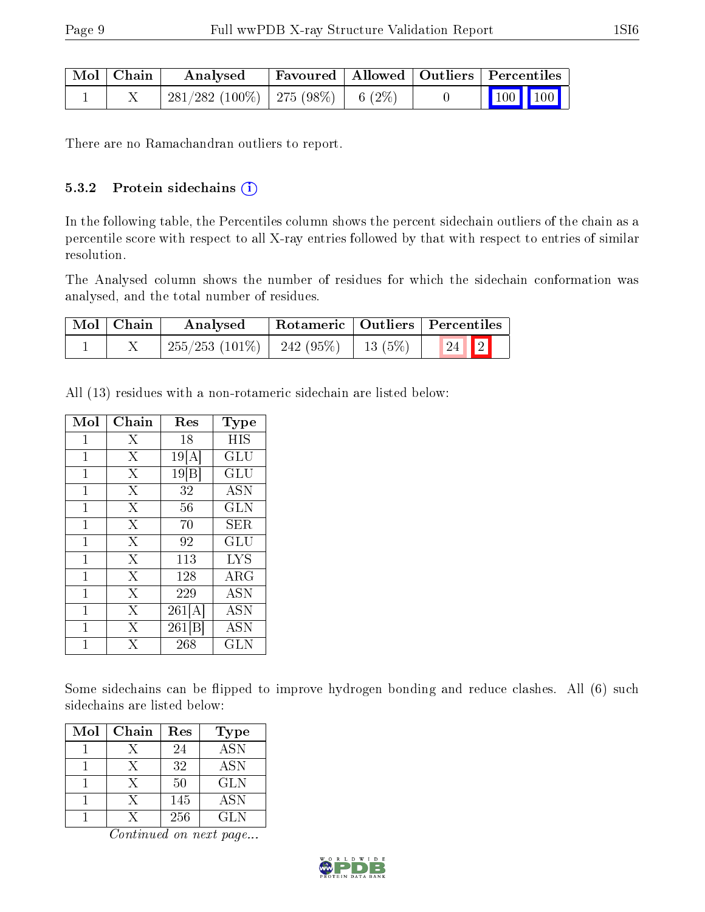| $\mid$ Mol $\mid$ Chain $\mid$ | Analysed                            |  | Favoured   Allowed   Outliers   Percentiles |
|--------------------------------|-------------------------------------|--|---------------------------------------------|
|                                | 281/282 (100%)   275 (98%)   6 (2%) |  | $\vert$ 100 100 $\vert$                     |

There are no Ramachandran outliers to report.

#### 5.3.2 Protein sidechains (i)

In the following table, the Percentiles column shows the percent sidechain outliers of the chain as a percentile score with respect to all X-ray entries followed by that with respect to entries of similar resolution.

The Analysed column shows the number of residues for which the sidechain conformation was analysed, and the total number of residues.

| Mol   Chain | Analysed                                                     |  | Rotameric   Outliers   Percentiles |  |  |
|-------------|--------------------------------------------------------------|--|------------------------------------|--|--|
|             | $\mid$ 255/253 (101%) $\mid$ 242 (95%) $\mid$ 13 (5%) $\mid$ |  | $\boxed{24}$ $\boxed{2}$           |  |  |

All (13) residues with a non-rotameric sidechain are listed below:

| Mol | ${\rm Chain}$  | Res    | Type       |
|-----|----------------|--------|------------|
| 1   | X              | 18     | HIS        |
| 1   | X              | 19[A]  | GLU        |
| 1   | X              | 19 B   | GLU        |
| 1   | X              | 32     | <b>ASN</b> |
| 1   | X              | 56     | <b>GLN</b> |
| 1   | X              | 70     | SER        |
| 1   | X              | 92     | GLU        |
| 1   | $\overline{X}$ | 113    | <b>LYS</b> |
| 1   | X              | 128    | $\rm{ARG}$ |
| 1   | X              | 229    | <b>ASN</b> |
| 1   | X              | 261[A] | <b>ASN</b> |
| 1   | Х              | 261[B] | <b>ASN</b> |
| 1   | $\overline{X}$ | 268    | GLN        |

Some sidechains can be flipped to improve hydrogen bonding and reduce clashes. All (6) such sidechains are listed below:

| Mol | Chain | Res | <b>Type</b> |
|-----|-------|-----|-------------|
|     |       | 24  | <b>ASN</b>  |
|     | X     | 32  | <b>ASN</b>  |
|     | X     | 50  | GLN         |
|     |       | 145 | <b>ASN</b>  |
|     |       | 256 | GL N        |

Continued on next page...

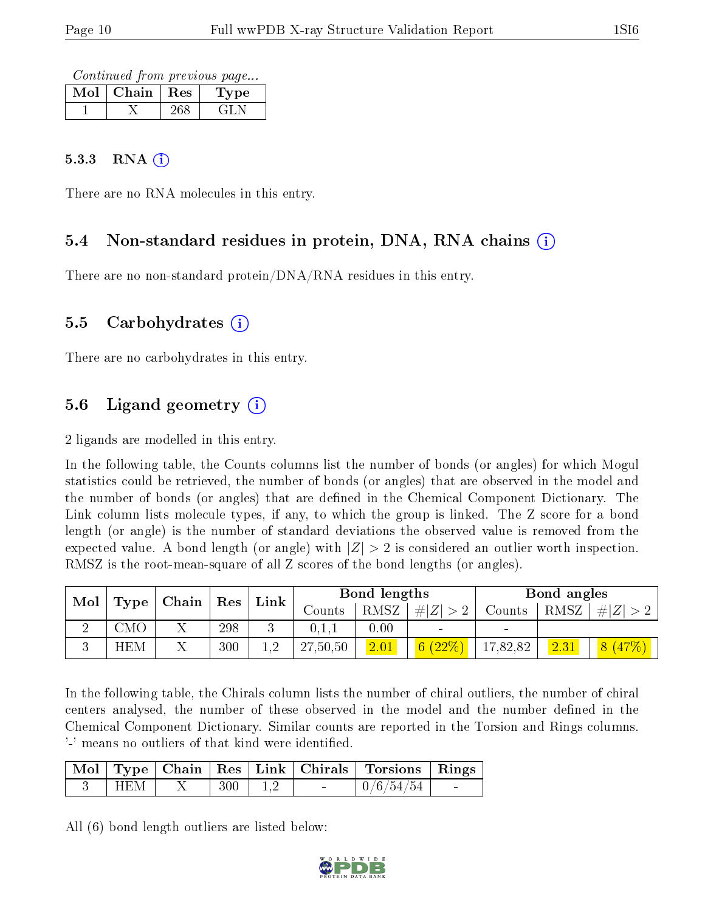Continued from previous page...

| Mol | Chain | $\mathbb{R}$ Res | Type |
|-----|-------|------------------|------|
|     |       |                  |      |

#### $5.3.3$  RNA  $(i)$

There are no RNA molecules in this entry.

#### 5.4 Non-standard residues in protein, DNA, RNA chains (i)

There are no non-standard protein/DNA/RNA residues in this entry.

#### 5.5 Carbohydrates (i)

There are no carbohydrates in this entry.

### 5.6 Ligand geometry  $(i)$

2 ligands are modelled in this entry.

In the following table, the Counts columns list the number of bonds (or angles) for which Mogul statistics could be retrieved, the number of bonds (or angles) that are observed in the model and the number of bonds (or angles) that are defined in the Chemical Component Dictionary. The Link column lists molecule types, if any, to which the group is linked. The Z score for a bond length (or angle) is the number of standard deviations the observed value is removed from the expected value. A bond length (or angle) with  $|Z| > 2$  is considered an outlier worth inspection. RMSZ is the root-mean-square of all Z scores of the bond lengths (or angles).

| Mol |            | $\mid$ Chain $\mid$ Res $\mid$ |     | ${\rm Link}$ |          | Bond lengths |             |          | Bond angles |             |
|-----|------------|--------------------------------|-----|--------------|----------|--------------|-------------|----------|-------------|-------------|
|     | Type       |                                |     |              | Counts   | RMSZ         | # $ Z  > 2$ | Counts   | RMSZ        | $\# Z  > 2$ |
|     | CMO        | ∡⊾                             | 298 |              | 0,1,1    | 0.00         |             | $\sim$   |             |             |
|     | <b>HEM</b> |                                | 300 | 19.          | 27,50,50 | 2.01         | 6(22%)      | 17,82,82 | 2.31        |             |

In the following table, the Chirals column lists the number of chiral outliers, the number of chiral centers analysed, the number of these observed in the model and the number defined in the Chemical Component Dictionary. Similar counts are reported in the Torsion and Rings columns. '-' means no outliers of that kind were identified.

|     |     |                          | Mol   Type   Chain   Res   Link   Chirals   Torsions   Rings |                          |
|-----|-----|--------------------------|--------------------------------------------------------------|--------------------------|
| HEM | 300 | <b>Contract Contract</b> | $\frac{1}{0}$ (6/54/54)                                      | <b>Contract Contract</b> |

All (6) bond length outliers are listed below:

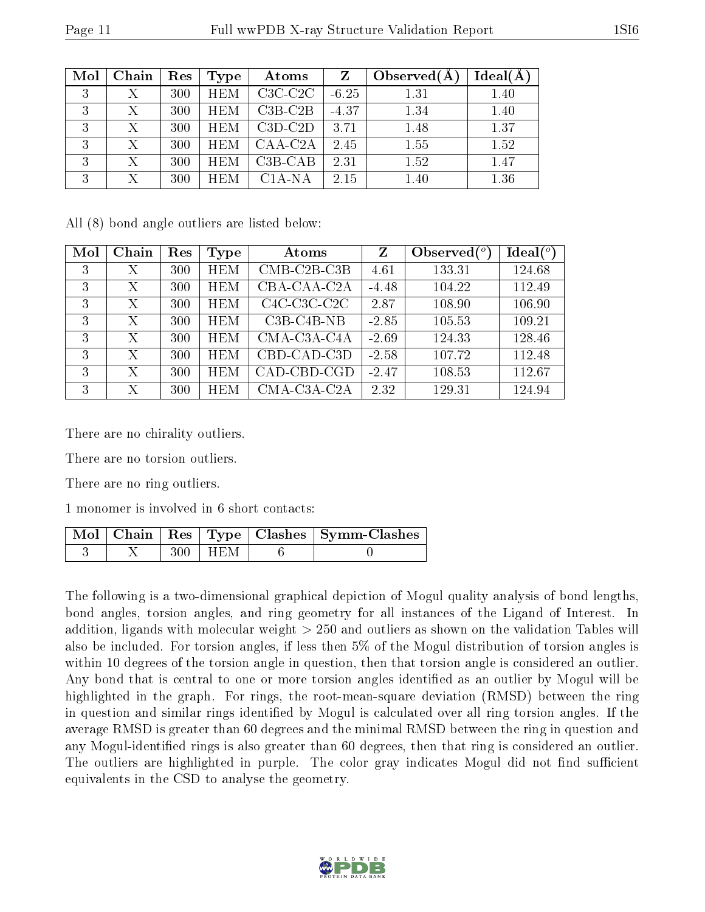| Mol | Chain | Res | Type       | Atoms                | $\mathbf{Z}$ | Observed $(A$ | $Ideal(\AA)$ |
|-----|-------|-----|------------|----------------------|--------------|---------------|--------------|
| 3   | Х     | 300 | <b>HEM</b> | $C3C-C2C$            | $-6.25$      | 1.31          | 1.40         |
| 3   | Х     | 300 | <b>HEM</b> | $C3B-C2B$            | $-4.37$      | 1.34          | 1.40         |
| 3   | Χ     | 300 | <b>HEM</b> | $C3D-C2D$            | 3.71         | 1.48          | 1.37         |
| 3   | X     | 300 | <b>HEM</b> | CAA-C <sub>2</sub> A | 2.45         | 1.55          | 1.52         |
| 3   | Х     | 300 | <b>HEM</b> | $C3B-CAB$            | 2.31         | 1.52          | 1.47         |
| 3   | X     | 300 | <b>HEM</b> | $C1A-NA$             | 2.15         | 1.40          | 1.36         |

All (8) bond angle outliers are listed below:

| Mol | Chain | Res | Type       | Atoms                                              | $Z_{\parallel}$ | Observed $(°)$ | Ideal $($ <sup>o</sup> |
|-----|-------|-----|------------|----------------------------------------------------|-----------------|----------------|------------------------|
| 3   | Х     | 300 | <b>HEM</b> | $CMB-C2B-C3B$                                      | 4.61            | 133.31         | 124.68                 |
| 3   | Χ     | 300 | <b>HEM</b> | CBA-CAA-C2A                                        | $-4.48$         | 104.22         | 112.49                 |
| 3   | X     | 300 | <b>HEM</b> | C <sub>4</sub> C-C <sub>3</sub> C-C <sub>2</sub> C | 2.87            | 108.90         | 106.90                 |
| 3   | X     | 300 | <b>HEM</b> | $C3B-C4B-NB$                                       | $-2.85$         | 105.53         | 109.21                 |
| 3   | X     | 300 | <b>HEM</b> | CMA-C3A-C4A                                        | $-2.69$         | 124.33         | 128.46                 |
| 3   | X     | 300 | <b>HEM</b> | CBD-CAD-C3D                                        | $-2.58$         | 107.72         | 112.48                 |
| 3   | Χ     | 300 | <b>HEM</b> | CAD-CBD-CGD                                        | $-2.47$         | 108.53         | 112.67                 |
| 3   | Х     | 300 | <b>HEM</b> | CMA-C3A-C2A                                        | 2.32            | 129.31         | 124.94                 |

There are no chirality outliers.

There are no torsion outliers.

There are no ring outliers.

1 monomer is involved in 6 short contacts:

|  |             | Mol   Chain   Res   Type   Clashes   Symm-Clashes |
|--|-------------|---------------------------------------------------|
|  | $300$   HEM |                                                   |

The following is a two-dimensional graphical depiction of Mogul quality analysis of bond lengths, bond angles, torsion angles, and ring geometry for all instances of the Ligand of Interest. In addition, ligands with molecular weight > 250 and outliers as shown on the validation Tables will also be included. For torsion angles, if less then 5% of the Mogul distribution of torsion angles is within 10 degrees of the torsion angle in question, then that torsion angle is considered an outlier. Any bond that is central to one or more torsion angles identified as an outlier by Mogul will be highlighted in the graph. For rings, the root-mean-square deviation (RMSD) between the ring in question and similar rings identified by Mogul is calculated over all ring torsion angles. If the average RMSD is greater than 60 degrees and the minimal RMSD between the ring in question and any Mogul-identified rings is also greater than 60 degrees, then that ring is considered an outlier. The outliers are highlighted in purple. The color gray indicates Mogul did not find sufficient equivalents in the CSD to analyse the geometry.

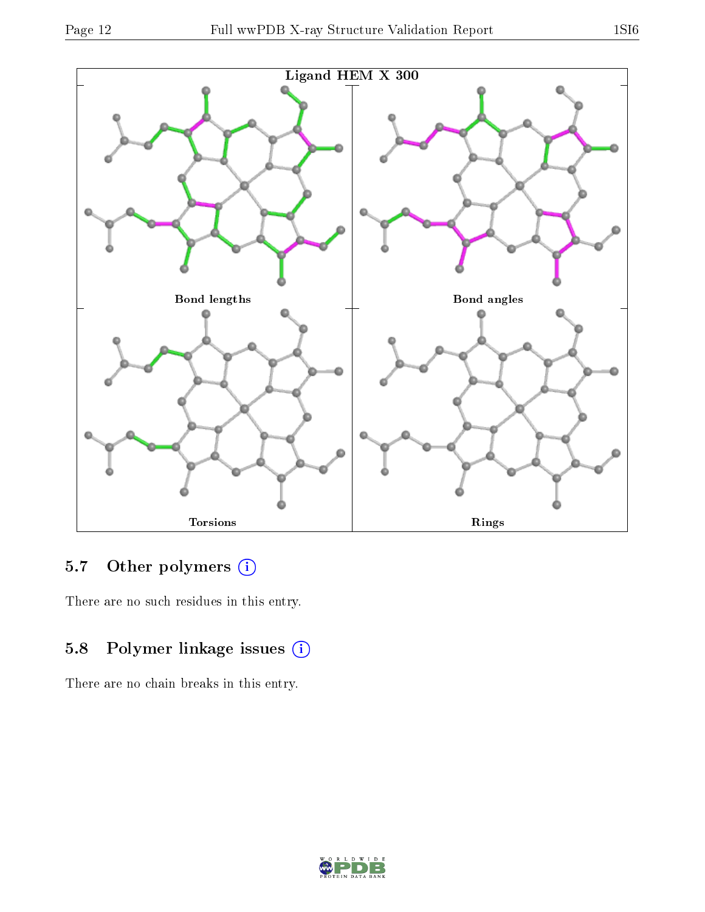

### 5.7 [O](https://www.wwpdb.org/validation/2017/XrayValidationReportHelp#nonstandard_residues_and_ligands)ther polymers (i)

There are no such residues in this entry.

### 5.8 Polymer linkage issues (i)

There are no chain breaks in this entry.



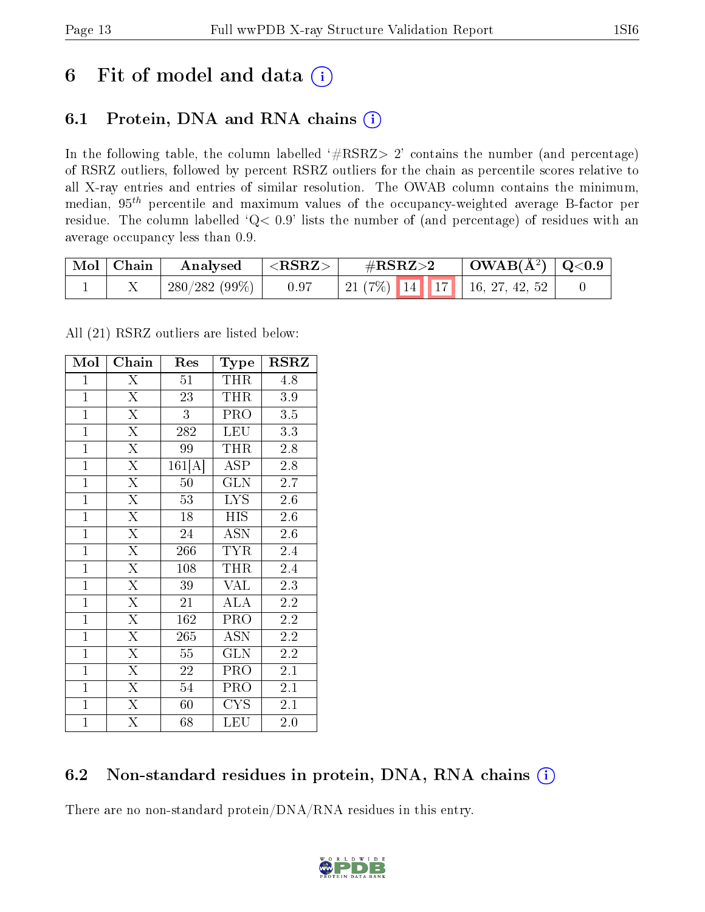## 6 Fit of model and data  $(i)$

### 6.1 Protein, DNA and RNA chains  $(i)$

In the following table, the column labelled  $#RSRZ> 2'$  contains the number (and percentage) of RSRZ outliers, followed by percent RSRZ outliers for the chain as percentile scores relative to all X-ray entries and entries of similar resolution. The OWAB column contains the minimum, median,  $95<sup>th</sup>$  percentile and maximum values of the occupancy-weighted average B-factor per residue. The column labelled ' $Q< 0.9$ ' lists the number of (and percentage) of residues with an average occupancy less than 0.9.

| $^+$ Mol $\,$ Chain $^-$ | Analysed     | $\mathcal{L} <\!\! \mathbf{RSRZ}\!\!>\!\!$ | $\#\text{RSRZ}\text{>2}$           | $\mid$ OWAB(Å <sup>2</sup> ) $\mid$ Q<0.9 |  |
|--------------------------|--------------|--------------------------------------------|------------------------------------|-------------------------------------------|--|
|                          | 280/282(99%) | 0.97                                       | 21 (7%)   14   17   16, 27, 42, 52 |                                           |  |

All (21) RSRZ outliers are listed below:

| Mol            | $Ch\overline{ain}$      | Res             | Type                      | <b>RSRZ</b>      |
|----------------|-------------------------|-----------------|---------------------------|------------------|
| $\mathbf{1}$   | $\overline{\mathrm{X}}$ | 51              | THR                       | 4.8              |
| $\mathbf{1}$   | $\overline{\mathrm{X}}$ | 23              | THR                       | $3.9\,$          |
| $\overline{1}$ | $\overline{\mathrm{X}}$ | $\overline{3}$  | PRO                       | 3.5              |
| $\mathbf{1}$   | $\overline{\mathrm{X}}$ | 282             | <b>LEU</b>                | 3.3              |
| $\overline{1}$ | $\overline{\mathrm{X}}$ | 99              | THR                       | $2.8\,$          |
| $\overline{1}$ | $\overline{\mathrm{X}}$ | 161[A]          | <b>ASP</b>                | 2.8              |
| $\mathbf{1}$   | $\overline{\mathrm{X}}$ | 50              | <b>GLN</b>                | 2.7              |
| $\overline{1}$ | $\overline{\mathrm{X}}$ | 53              | <b>LYS</b>                | 2.6              |
| $\overline{1}$ | $\overline{\mathrm{X}}$ | 18              | <b>HIS</b>                | 2.6              |
| $\overline{1}$ | $\overline{\mathrm{X}}$ | 24              | $\overline{\mathrm{ASN}}$ | $\overline{2.6}$ |
| $\mathbf{1}$   | $\overline{\mathrm{X}}$ | 266             | TYR                       | 2.4              |
| $\overline{1}$ | $\overline{\mathrm{X}}$ | 108             | THR                       | 2.4              |
| $\overline{1}$ | $\overline{\mathrm{X}}$ | 39              | <b>VAL</b>                | 2.3              |
| $\mathbf{1}$   | $\overline{\mathrm{X}}$ | 21              | <b>ALA</b>                | 2.2              |
| $\mathbf{1}$   | $\overline{\mathrm{X}}$ | 162             | PRO                       | $2.2\,$          |
| $\overline{1}$ | $\overline{\mathrm{X}}$ | 265             | <b>ASN</b>                | 2.2              |
| $\overline{1}$ | $\overline{\mathrm{X}}$ | $5\overline{5}$ | <b>GLN</b>                | 2.2              |
| $\mathbf{1}$   | $\overline{\mathrm{X}}$ | 22              | PRO                       | 2.1              |
| $\overline{1}$ | $\overline{\mathrm{X}}$ | 54              | PRO                       | 2.1              |
| $\overline{1}$ | $\overline{\mathrm{X}}$ | 60              | CYS                       | 2.1              |
| $\overline{1}$ | $\overline{\mathrm{X}}$ | 68              | LEU                       | 2.0              |

### 6.2 Non-standard residues in protein, DNA, RNA chains (i)

There are no non-standard protein/DNA/RNA residues in this entry.

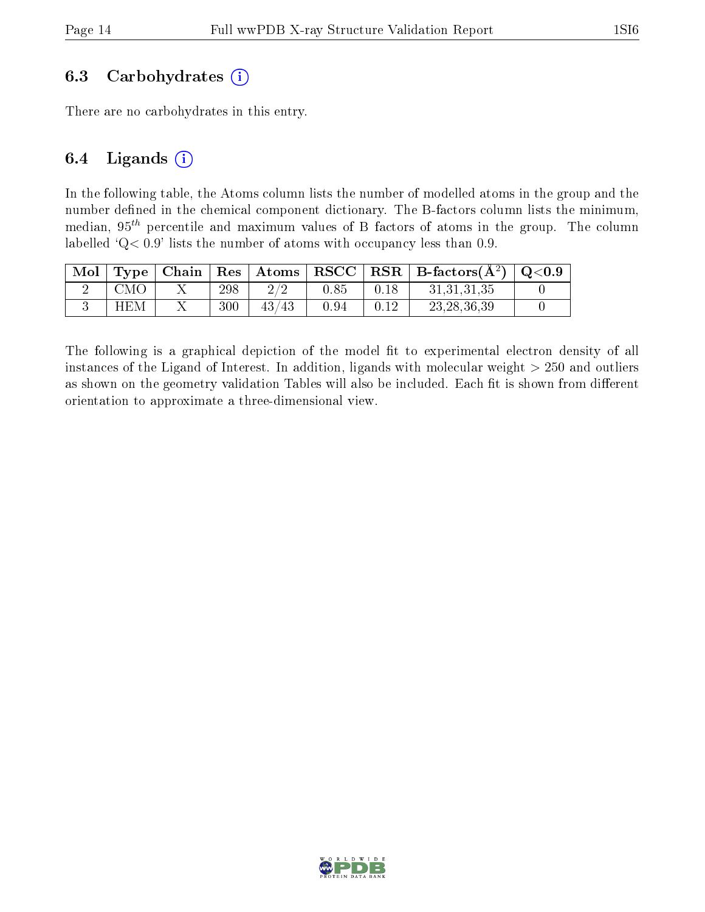#### 6.3 Carbohydrates  $(i)$

There are no carbohydrates in this entry.

#### 6.4 Ligands  $(i)$

In the following table, the Atoms column lists the number of modelled atoms in the group and the number defined in the chemical component dictionary. The B-factors column lists the minimum, median,  $95<sup>th</sup>$  percentile and maximum values of B factors of atoms in the group. The column labelled ' $Q< 0.9$ ' lists the number of atoms with occupancy less than 0.9.

| Mol |     |     |       |      |      | Type   Chain   Res   Atoms   RSCC   RSR   B-factors $(A^2)$   Q<0.9 |  |
|-----|-----|-----|-------|------|------|---------------------------------------------------------------------|--|
|     | CMO | 298 | 2/2   | 0.85 | 0.18 | 31,31,31,35                                                         |  |
|     | HEM | 300 | 43/43 | 0.94 |      | 23, 28, 36, 39                                                      |  |

The following is a graphical depiction of the model fit to experimental electron density of all instances of the Ligand of Interest. In addition, ligands with molecular weight  $> 250$  and outliers as shown on the geometry validation Tables will also be included. Each fit is shown from different orientation to approximate a three-dimensional view.